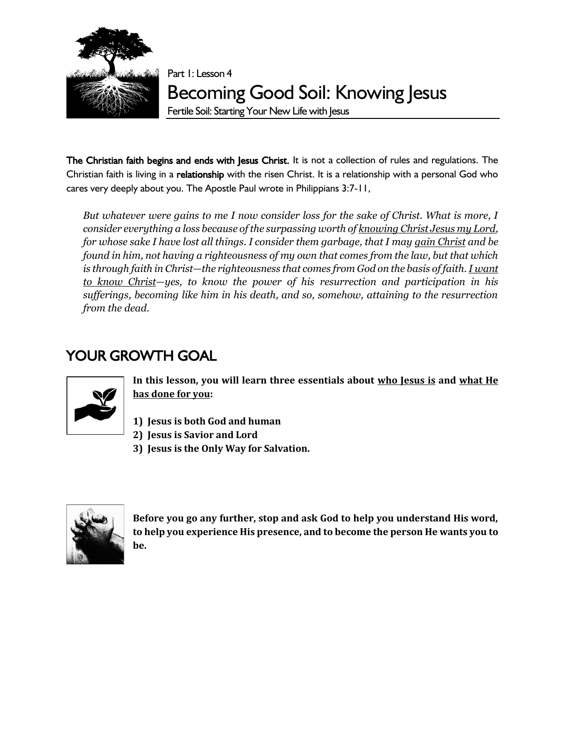

Part 1: Lesson 4 Becoming Good Soil: Knowing Jesus

Fertile Soil: Starting Your New Life with Jesus

The Christian faith begins and ends with Jesus Christ. It is not a collection of rules and regulations. The Christian faith is living in a relationship with the risen Christ. It is a relationship with a personal God who cares very deeply about you. The Apostle Paul wrote in Philippians 3:7-11,

*But whatever were gains to me I now consider loss for the sake of Christ. What is more, I consider everything a loss because of the surpassing worth of knowing Christ Jesus my Lord, for whose sake I have lost all things. I consider them garbage, that I may gain Christ and be found in him, not having a righteousness of my own that comes from the law, but that which is through faith in Christ—the righteousness that comes from God on the basis of faith. I want to know Christ—yes, to know the power of his resurrection and participation in his sufferings, becoming like him in his death, and so, somehow, attaining to the resurrection from the dead.*

# YOUR GROWTH GOAL



**In this lesson, you will learn three essentials about who Jesus is and what He has done for you:**

**1) Jesus is both God and human**

**2) Jesus is Savior and Lord**

**3) Jesus is the Only Way for Salvation.**



**Before you go any further, stop and ask God to help you understand His word, to help you experience His presence, and to become the person He wants you to be.**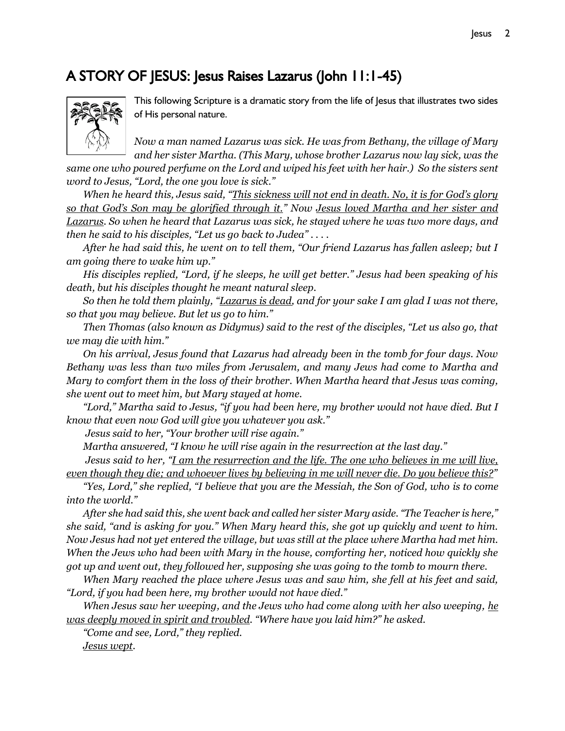# A STORY OF JESUS: Jesus Raises Lazarus (John 11:1-45)

This following Scripture is a dramatic story from the life of Jesus that illustrates two sides of His personal nature.

*Now a man named Lazarus was sick. He was from Bethany, the village of Mary and her sister Martha. (This Mary, whose brother Lazarus now lay sick, was the* 

*same one who poured perfume on the Lord and wiped his feet with her hair.) So the sisters sent word to Jesus, "Lord, the one you love is sick."*

*When he heard this, Jesus said, "This sickness will not end in death. No, it is for God's glory so that God's Son may be glorified through it." Now Jesus loved Martha and her sister and Lazarus. So when he heard that Lazarus was sick, he stayed where he was two more days, and then he said to his disciples, "Let us go back to Judea" . . . .*

*After he had said this, he went on to tell them, "Our friend Lazarus has fallen asleep; but I am going there to wake him up."*

*His disciples replied, "Lord, if he sleeps, he will get better." Jesus had been speaking of his death, but his disciples thought he meant natural sleep.*

*So then he told them plainly, "Lazarus is dead, and for your sake I am glad I was not there, so that you may believe. But let us go to him."*

*Then Thomas (also known as Didymus) said to the rest of the disciples, "Let us also go, that we may die with him."*

*On his arrival, Jesus found that Lazarus had already been in the tomb for four days. Now Bethany was less than two miles from Jerusalem, and many Jews had come to Martha and Mary to comfort them in the loss of their brother. When Martha heard that Jesus was coming, she went out to meet him, but Mary stayed at home.*

*"Lord," Martha said to Jesus, "if you had been here, my brother would not have died. But I know that even now God will give you whatever you ask."*

*Jesus said to her, "Your brother will rise again."*

*Martha answered, "I know he will rise again in the resurrection at the last day."*

*Jesus said to her, "I am the resurrection and the life. The one who believes in me will live, even though they die; and whoever lives by believing in me will never die. Do you believe this?"*

*"Yes, Lord," she replied, "I believe that you are the Messiah, the Son of God, who is to come into the world."*

*After she had said this, she went back and called her sister Mary aside. "The Teacher is here," she said, "and is asking for you." When Mary heard this, she got up quickly and went to him. Now Jesus had not yet entered the village, but was still at the place where Martha had met him. When the Jews who had been with Mary in the house, comforting her, noticed how quickly she got up and went out, they followed her, supposing she was going to the tomb to mourn there.*

*When Mary reached the place where Jesus was and saw him, she fell at his feet and said, "Lord, if you had been here, my brother would not have died."*

*When Jesus saw her weeping, and the Jews who had come along with her also weeping, he was deeply moved in spirit and troubled. "Where have you laid him?" he asked.*

*"Come and see, Lord," they replied.*

*Jesus wept.*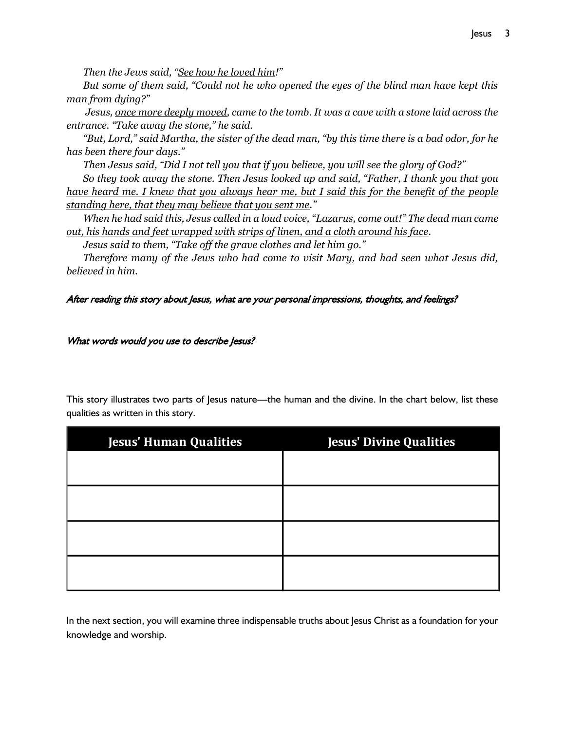*Then the Jews said, "See how he loved him!"*

*But some of them said, "Could not he who opened the eyes of the blind man have kept this man from dying?"*

*Jesus, once more deeply moved, came to the tomb. It was a cave with a stone laid across the entrance. "Take away the stone," he said.*

*"But, Lord," said Martha, the sister of the dead man, "by this time there is a bad odor, for he has been there four days."*

*Then Jesus said, "Did I not tell you that if you believe, you will see the glory of God?"*

*So they took away the stone. Then Jesus looked up and said, "Father, I thank you that you have heard me. I knew that you always hear me, but I said this for the benefit of the people standing here, that they may believe that you sent me."*

*When he had said this, Jesus called in a loud voice, "Lazarus, come out!" The dead man came out, his hands and feet wrapped with strips of linen, and a cloth around his face.*

*Jesus said to them, "Take off the grave clothes and let him go."*

*Therefore many of the Jews who had come to visit Mary, and had seen what Jesus did, believed in him.*

#### After reading this story about Jesus, what are your personal impressions, thoughts, and feelings?

#### What words would you use to describe Jesus?

This story illustrates two parts of Jesus nature—the human and the divine. In the chart below, list these qualities as written in this story.

| <b>Jesus' Human Qualities</b> | <b>Jesus' Divine Qualities</b> |
|-------------------------------|--------------------------------|
|                               |                                |
|                               |                                |
|                               |                                |
|                               |                                |

In the next section, you will examine three indispensable truths about Jesus Christ as a foundation for your knowledge and worship.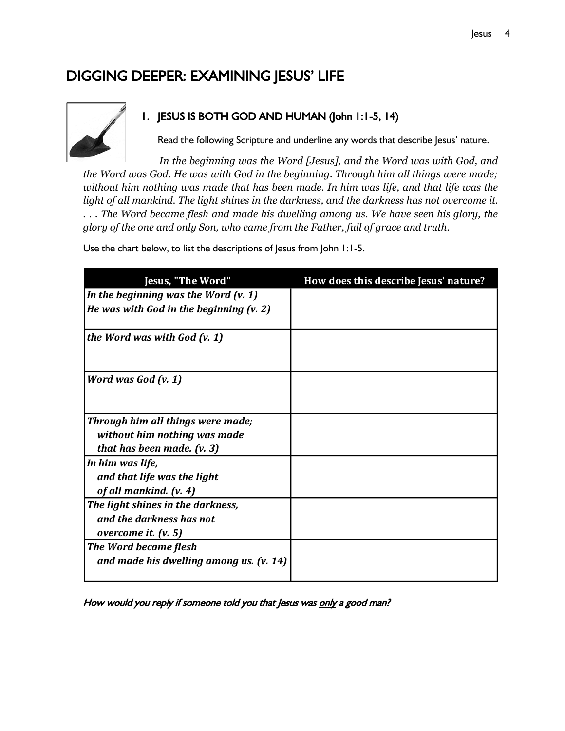# DIGGING DEEPER: EXAMINING JESUS' LIFE



## 1. JESUS IS BOTH GOD AND HUMAN (John 1:1-5, 14)

Read the following Scripture and underline any words that describe Jesus' nature.

*In the beginning was the Word [Jesus], and the Word was with God, and the Word was God. He was with God in the beginning. Through him all things were made; without him nothing was made that has been made. In him was life, and that life was the light of all mankind. The light shines in the darkness, and the darkness has not overcome it. . . . The Word became flesh and made his dwelling among us. We have seen his glory, the glory of the one and only Son, who came from the Father, full of grace and truth.*

**Jesus, "The Word" How does this describe Jesus' nature?** *In the beginning was the Word (v. 1) He was with God in the beginning (v. 2) the Word was with God (v. 1) Word was God (v. 1) Through him all things were made; without him nothing was made that has been made. (v. 3) In him was life, and that life was the light of all mankind. (v. 4) The light shines in the darkness, and the darkness has not overcome it. (v. 5) The Word became flesh and made his dwelling among us. (v. 14)*

Use the chart below, to list the descriptions of Jesus from John 1:1-5.

How would you reply if someone told you that Jesus was only a good man?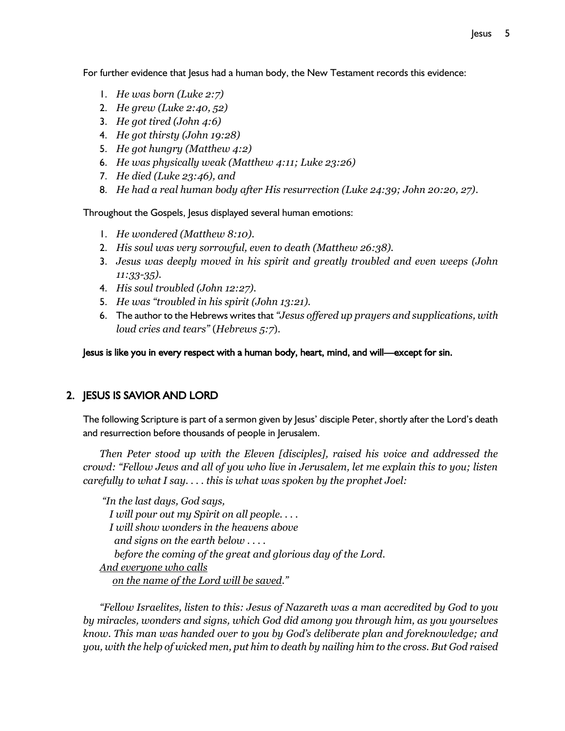For further evidence that Jesus had a human body, the New Testament records this evidence:

- 1. *He was born (Luke 2:7)*
- 2. *He grew (Luke 2:40, 52)*
- 3. *He got tired (John 4:6)*
- 4. *He got thirsty (John 19:28)*
- 5. *He got hungry (Matthew 4:2)*
- 6. *He was physically weak (Matthew 4:11; Luke 23:26)*
- 7. *He died (Luke 23:46), and*
- 8. *He had a real human body after His resurrection (Luke 24:39; John 20:20, 27)*.

Throughout the Gospels, Jesus displayed several human emotions:

- 1. *He wondered (Matthew 8:10).*
- 2. *His soul was very sorrowful, even to death (Matthew 26:38).*
- 3. *Jesus was deeply moved in his spirit and greatly troubled and even weeps (John 11:33-35).*
- 4. *His soul troubled (John 12:27).*
- 5. *He was "troubled in his spirit (John 13:21).*
- 6. The author to the Hebrews writes that *"Jesus offered up prayers and supplications, with loud cries and tears"* (*Hebrews 5:7*).

Jesus is like you in every respect with a human body, heart, mind, and will—except for sin.

### 2. JESUS IS SAVIOR AND LORD

The following Scripture is part of a sermon given by Jesus' disciple Peter, shortly after the Lord's death and resurrection before thousands of people in Jerusalem.

*Then Peter stood up with the Eleven [disciples], raised his voice and addressed the crowd: "Fellow Jews and all of you who live in Jerusalem, let me explain this to you; listen carefully to what I say. . . . this is what was spoken by the prophet Joel:* 

*"In the last days, God says, I will pour out my Spirit on all people. . . . I will show wonders in the heavens above and signs on the earth below . . . . before the coming of the great and glorious day of the Lord. And everyone who calls on the name of the Lord will be saved."* 

*"Fellow Israelites, listen to this: Jesus of Nazareth was a man accredited by God to you by miracles, wonders and signs, which God did among you through him, as you yourselves know. This man was handed over to you by God's deliberate plan and foreknowledge; and you, with the help of wicked men, put him to death by nailing him to the cross. But God raised*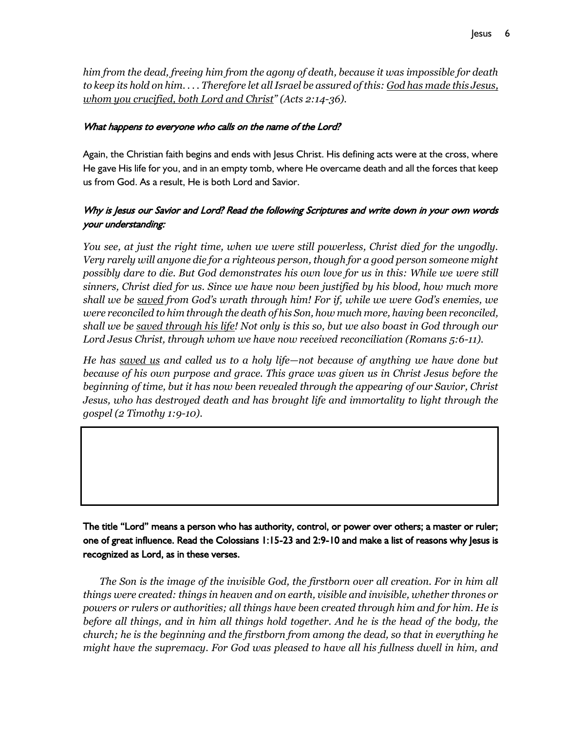*him from the dead, freeing him from the agony of death, because it was impossible for death to keep its hold on him. . . . Therefore let all Israel be assured of this: God has made this Jesus, whom you crucified, both Lord and Christ" (Acts 2:14-36).*

#### What happens to everyone who calls on the name of the Lord?

Again, the Christian faith begins and ends with Jesus Christ. His defining acts were at the cross, where He gave His life for you, and in an empty tomb, where He overcame death and all the forces that keep us from God. As a result, He is both Lord and Savior.

#### Why is Jesus our Savior and Lord? Read the following Scriptures and write down in your own words your understanding:

*You see, at just the right time, when we were still powerless, Christ died for the ungodly. Very rarely will anyone die for a righteous person, though for a good person someone might possibly dare to die. But God demonstrates his own love for us in this: While we were still sinners, Christ died for us. Since we have now been justified by his blood, how much more shall we be saved from God's wrath through him! For if, while we were God's enemies, we were reconciled to him through the death of his Son, how much more, having been reconciled, shall we be saved through his life! Not only is this so, but we also boast in God through our Lord Jesus Christ, through whom we have now received reconciliation (Romans 5:6-11).*

*He has saved us and called us to a holy life—not because of anything we have done but because of his own purpose and grace. This grace was given us in Christ Jesus before the beginning of time, but it has now been revealed through the appearing of our Savior, Christ Jesus, who has destroyed death and has brought life and immortality to light through the gospel (2 Timothy 1:9-10).*

The title "Lord" means a person who has authority, control, or power over others; a master or ruler; one of great influence. Read the Colossians 1:15-23 and 2:9-10 and make a list of reasons why Jesus is recognized as Lord, as in these verses.

*The Son is the image of the invisible God, the firstborn over all creation. For in him all things were created: things in heaven and on earth, visible and invisible, whether thrones or powers or rulers or authorities; all things have been created through him and for him. He is before all things, and in him all things hold together. And he is the head of the body, the church; he is the beginning and the firstborn from among the dead, so that in everything he might have the supremacy. For God was pleased to have all his fullness dwell in him, and*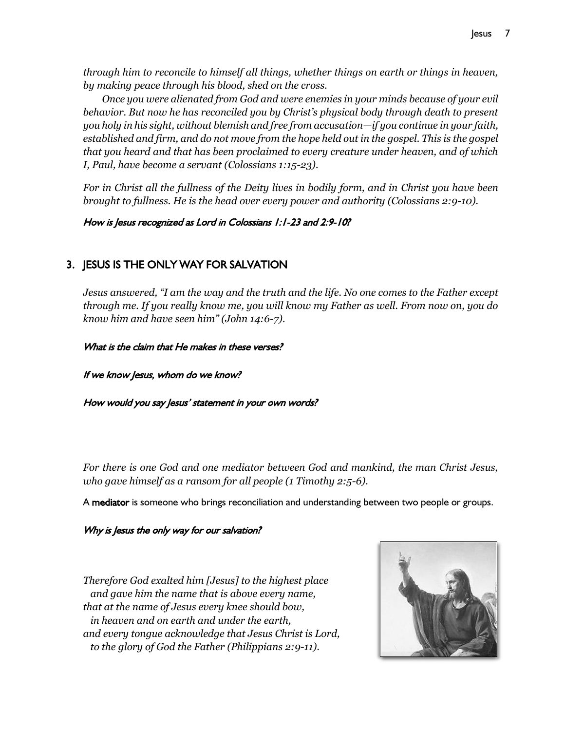*through him to reconcile to himself all things, whether things on earth or things in heaven, by making peace through his blood, shed on the cross.* 

*Once you were alienated from God and were enemies in your minds because of your evil behavior. But now he has reconciled you by Christ's physical body through death to present you holy in his sight, without blemish and free from accusation—if you continue in your faith, established and firm, and do not move from the hope held out in the gospel. This is the gospel that you heard and that has been proclaimed to every creature under heaven, and of which I, Paul, have become a servant (Colossians 1:15-23).*

*For in Christ all the fullness of the Deity lives in bodily form, and in Christ you have been brought to fullness. He is the head over every power and authority (Colossians 2:9-10).*

### How is Jesus recognized as Lord in Colossians 1:1-23 and 2:9-10?

## 3. JESUS IS THE ONLY WAY FOR SALVATION

*Jesus answered, "I am the way and the truth and the life. No one comes to the Father except through me. If you really know me, you will know my Father as well. From now on, you do know him and have seen him" (John 14:6-7).* 

What is the claim that He makes in these verses?

If we know Jesus, whom do we know?

How would you say Jesus' statement in your own words?

*For there is one God and one mediator between God and mankind, the man Christ Jesus, who gave himself as a ransom for all people (1 Timothy 2:5-6).*

A mediator is someone who brings reconciliation and understanding between two people or groups.

### Why is Jesus the only way for our salvation?

*Therefore God exalted him [Jesus] to the highest place and gave him the name that is above every name, that at the name of Jesus every knee should bow, in heaven and on earth and under the earth, and every tongue acknowledge that Jesus Christ is Lord, to the glory of God the Father (Philippians 2:9-11).*

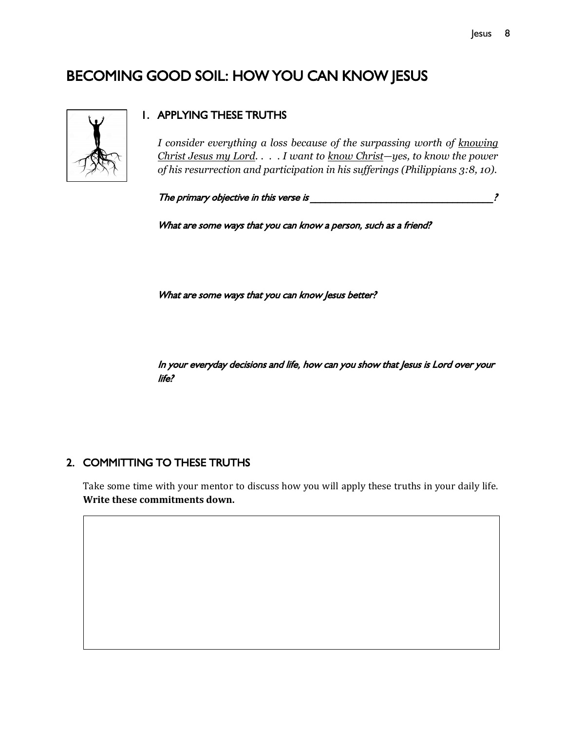# BECOMING GOOD SOIL: HOW YOU CAN KNOW JESUS



### 1. APPLYING THESE TRUTHS

*I* consider everything a loss because of the surpassing worth of knowing *Christ Jesus my Lord. . . . I want to know Christ—yes, to know the power of his resurrection and participation in his sufferings (Philippians 3:8, 10).*

The primary objective in this verse is \_\_\_\_\_\_\_\_\_\_\_\_\_\_\_\_\_\_\_\_\_\_\_\_\_\_\_\_\_\_\_\_\_\_\_\_?

What are some ways that you can know a person, such as a friend?

What are some ways that you can know Jesus better?

In your everyday decisions and life, how can you show that Jesus is Lord over your life?

## 2. COMMITTING TO THESE TRUTHS

 $\overline{\phantom{a}}$ 

 $\overline{\phantom{a}}$ 

 $\overline{\phantom{a}}$ 

 $\overline{\phantom{a}}$ 

Take some time with your mentor to discuss how you will apply these truths in your daily life. **Write these commitments down.**